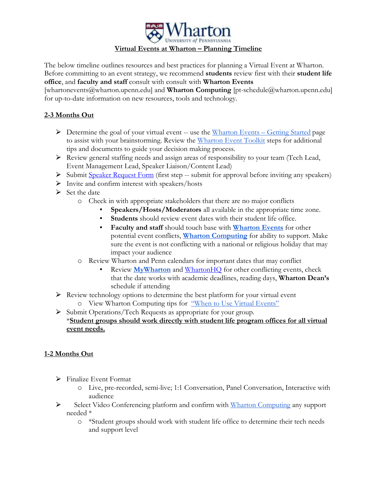

#### **Virtual Events at Wharton – Planning Timeline**

The below timeline outlines resources and best practices for planning a Virtual Event at Wharton. Before committing to an event strategy, we recommend **students** review first with their **student life office**, and **faculty and staff** consult with consult with **Wharton Events**

[whartonevents@wharton.upenn.edu] and **Wharton Computing** [pt-schedule@wharton.upenn.edu] for up-to-date information on new resources, tools and technology.

## **2-3 Months Out**

- $\triangleright$  Determine the goal of your virtual event -- use the [Wharton Events](https://marcomm.wharton.upenn.edu/event-toolkit/getting-started/)  Getting Started page to assist with your brainstorming. Review the [Wharton Event Toolkit](https://marcomm.wharton.upenn.edu/event-toolkit/) steps for additional tips and documents to guide your decision making process.
- ⮚ Review general staffing needs and assign areas of responsibility to your team (Tech Lead, Event Management Lead, Speaker Liaison/Content Lead)
- Submit [Speaker Request Form](https://apps.wharton.upenn.edu/speaker/index.cfm) (first step -- submit for approval before inviting any speakers)
- $\triangleright$  Invite and confirm interest with speakers/hosts
- $\triangleright$  Set the date
	- o Check in with appropriate stakeholders that there are no major conflicts
		- Speakers/Hosts/Moderators all available in the appropriate time zone.
		- **Students** should review event dates with their student life office.
		- **Faculty and staff** should touch base with **[Wharton Events](mailto:whartonevents@wharton.upenn.edu)** for other potential event conflicts, **[Wharton](mailto:pt-schedule@wharton.upenn.edu) [Computing](mailto:pt-schedule@wharton.upenn.edu)** for ability to support. Make sure the event is not conflicting with a national or religious holiday that may impact your audience
	- o Review Wharton and Penn calendars for important dates that may conflict
		- Review **[MyWharton](https://mywharton.wharton.upenn.edu/)** and [WhartonHQ](https://mba-inside.wharton.upenn.edu/classof2022/) for other conflicting events, check that the date works with academic deadlines, reading days, **Wharton Dean's**  schedule if attending
- ⮚ Review technology options to determine the best platform for your virtual event o View Wharton Computing tips for ["When to Use Virtual Events"](https://support.wharton.upenn.edu/help/planning-a-virtual-event)

⮚ Submit Operations/Tech Requests as appropriate for your group. \***Student groups should work directly with student life program offices for all virtual event needs.** 

#### **1-2 Months Out**

- ⮚ Finalize Event Format
	- o Live, pre-recorded, semi-live; 1:1 Conversation, Panel Conversation, Interactive with audience
- Select Video Conferencing platform and confirm with [Wharton Computing](mailto:pt-schedule@wharton.upenn.edu) any support needed \*
	- o \*Student groups should work with student life office to determine their tech needs and support level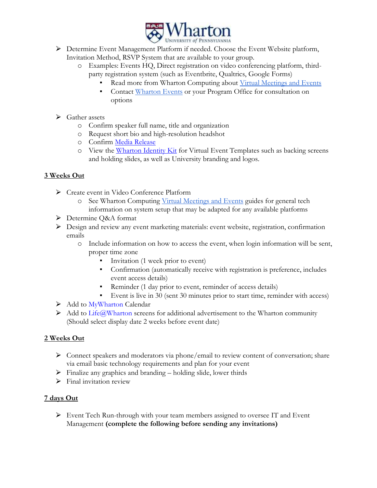

- ▶ Determine Event Management Platform if needed. Choose the Event Website platform, Invitation Method, RSVP System that are available to your group.
	- o Examples: Events HQ, Direct registration on video conferencing platform, thirdparty registration system (such as Eventbrite, Qualtrics, Google Forms)
		- Read more from Wharton Computing about [Virtual Meetings and Events](https://support.wharton.upenn.edu/help/virtual-meetings-and-events)
		- Contact [Wharton Events](mailto:whartonevents@wharton.upenn.edu) or your Program Office for consultation on options
- $\triangleright$  Gather assets
	- o Confirm speaker full name, title and organization
	- o Request short bio and high-resolution headshot
	- o Confirm [Media Release](https://marcomm.wharton.upenn.edu/event-tookit/wharton-media-release/)
	- o View the [Wharton Identity Kit](https://company-51807.frontify.com/d/EWFhKbT2J5mB/identity-kit#/templates-and-tools/virtual-event-kit) for Virtual Event Templates such as backing screens and holding slides, as well as University branding and logos.

# **3 Weeks Out**

- ⮚ Create event in Video Conference Platform
	- o See Wharton Computing [Virtual Meetings and Events](https://support.wharton.upenn.edu/help/virtual-meetings-and-events) guides for general tech information on system setup that may be adapted for any available platforms
- ▶ Determine Q&A format
- ⮚ Design and review any event marketing materials: event website, registration, confirmation emails
	- o Include information on how to access the event, when login information will be sent, proper time zone
		- Invitation (1 week prior to event)
		- Confirmation (automatically receive with registration is preference, includes event access details)
		- Reminder (1 day prior to event, reminder of access details)
		- Event is live in 30 (sent 30 minutes prior to start time, reminder with access)
- > Add to [MyWharton](https://mywharton.wharton.upenn.edu/s/) Calendar
- $\triangleright$  Add to [Life@Wharton](https://apps.wharton.upenn.edu/life) screens for additional advertisement to the Wharton community (Should select display date 2 weeks before event date)

## **2 Weeks Out**

- ⮚ Connect speakers and moderators via phone/email to review content of conversation; share via email basic technology requirements and plan for your event
- $\triangleright$  Finalize any graphics and branding holding slide, lower thirds
- $\triangleright$  Final invitation review

## **7 days Out**

⮚ Event Tech Run-through with your team members assigned to oversee IT and Event Management **(complete the following before sending any invitations)**